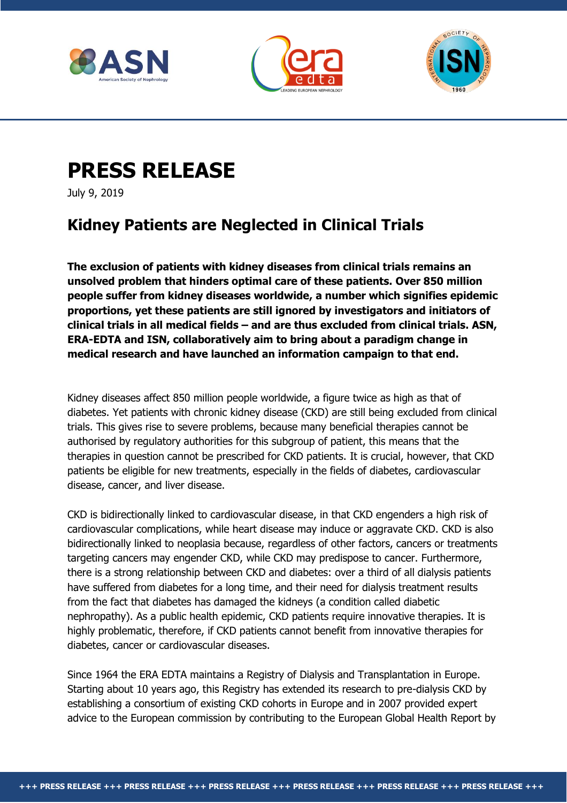





## **PRESS RELEASE**

July 9, 2019

## **Kidney Patients are Neglected in Clinical Trials**

**The exclusion of patients with kidney diseases from clinical trials remains an unsolved problem that hinders optimal care of these patients. Over 850 million people suffer from kidney diseases worldwide, a number which signifies epidemic proportions, yet these patients are still ignored by investigators and initiators of clinical trials in all medical fields – and are thus excluded from clinical trials. ASN, ERA-EDTA and ISN, collaboratively aim to bring about a paradigm change in medical research and have launched an information campaign to that end.**

Kidney diseases affect 850 million people worldwide, a figure twice as high as that of diabetes. Yet patients with chronic kidney disease (CKD) are still being excluded from clinical trials. This gives rise to severe problems, because many beneficial therapies cannot be authorised by regulatory authorities for this subgroup of patient, this means that the therapies in question cannot be prescribed for CKD patients. It is crucial, however, that CKD patients be eligible for new treatments, especially in the fields of diabetes, cardiovascular disease, cancer, and liver disease.

CKD is bidirectionally linked to cardiovascular disease, in that CKD engenders a high risk of cardiovascular complications, while heart disease may induce or aggravate CKD. CKD is also bidirectionally linked to neoplasia because, regardless of other factors, cancers or treatments targeting cancers may engender CKD, while CKD may predispose to cancer. Furthermore, there is a strong relationship between CKD and diabetes: over a third of all dialysis patients have suffered from diabetes for a long time, and their need for dialysis treatment results from the fact that diabetes has damaged the kidneys (a condition called diabetic nephropathy). As a public health epidemic, CKD patients require innovative therapies. It is highly problematic, therefore, if CKD patients cannot benefit from innovative therapies for diabetes, cancer or cardiovascular diseases.

Since 1964 the ERA EDTA maintains a Registry of Dialysis and Transplantation in Europe. Starting about 10 years ago, this Registry has extended its research to pre-dialysis CKD by establishing a consortium of existing CKD cohorts in Europe and in 2007 provided expert advice to the European commission by contributing to the European Global Health Report by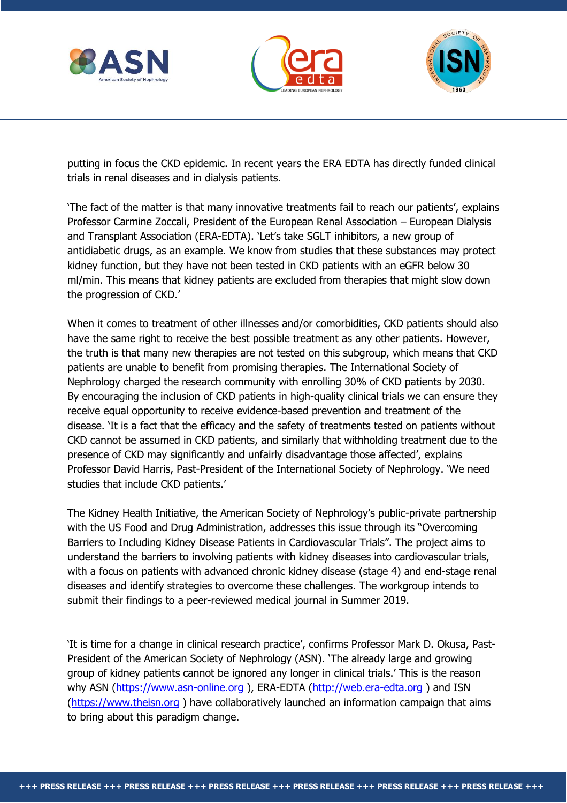





putting in focus the CKD epidemic. In recent years the ERA EDTA has directly funded clinical trials in renal diseases and in dialysis patients.

'The fact of the matter is that many innovative treatments fail to reach our patients', explains Professor Carmine Zoccali, President of the European Renal Association – European Dialysis and Transplant Association (ERA-EDTA). 'Let's take SGLT inhibitors, a new group of antidiabetic drugs, as an example. We know from studies that these substances may protect kidney function, but they have not been tested in CKD patients with an eGFR below 30 ml/min. This means that kidney patients are excluded from therapies that might slow down the progression of CKD.'

When it comes to treatment of other illnesses and/or comorbidities, CKD patients should also have the same right to receive the best possible treatment as any other patients. However, the truth is that many new therapies are not tested on this subgroup, which means that CKD patients are unable to benefit from promising therapies. The International Society of Nephrology charged the research community with enrolling 30% of CKD patients by 2030. By encouraging the inclusion of CKD patients in high-quality clinical trials we can ensure they receive equal opportunity to receive evidence-based prevention and treatment of the disease. 'It is a fact that the efficacy and the safety of treatments tested on patients without CKD cannot be assumed in CKD patients, and similarly that withholding treatment due to the presence of CKD may significantly and unfairly disadvantage those affected', explains Professor David Harris, Past-President of the International Society of Nephrology. 'We need studies that include CKD patients.'

The Kidney Health Initiative, the American Society of Nephrology's public-private partnership with the US Food and Drug Administration, addresses this issue through its "Overcoming Barriers to Including Kidney Disease Patients in Cardiovascular Trials". The project aims to understand the barriers to involving patients with kidney diseases into cardiovascular trials, with a focus on patients with advanced chronic kidney disease (stage 4) and end-stage renal diseases and identify strategies to overcome these challenges. The workgroup intends to submit their findings to a peer-reviewed medical journal in Summer 2019.

'It is time for a change in clinical research practice', confirms Professor Mark D. Okusa, Past-President of the American Society of Nephrology (ASN). 'The already large and growing group of kidney patients cannot be ignored any longer in clinical trials.' This is the reason why ASN [\(https://www.asn-online.org](https://www.asn-online.org/)), ERA-EDTA [\(http://web.era-edta.org](http://web.era-edta.org/)) and ISN [\(https://www.theisn.org](https://www.theisn.org/) ) have collaboratively launched an information campaign that aims to bring about this paradigm change.